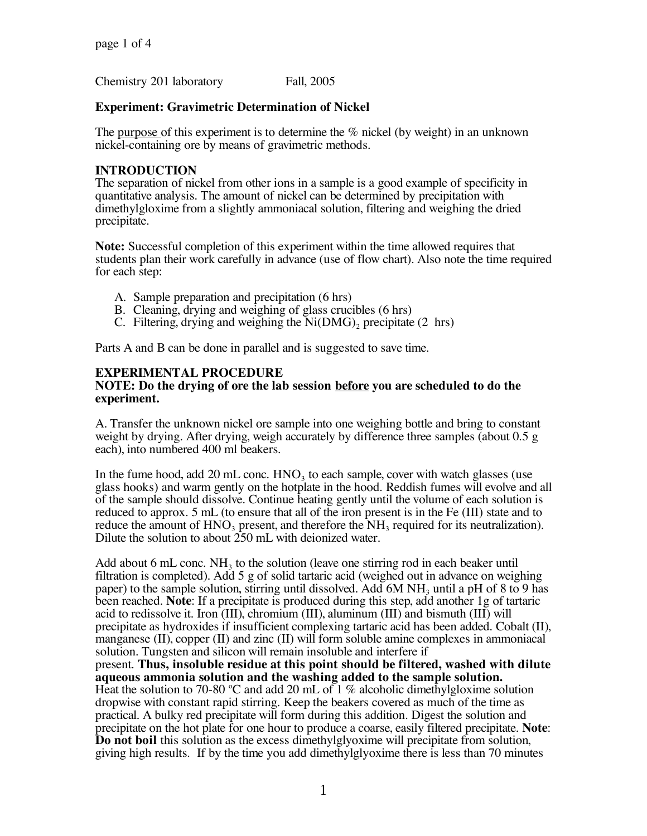Chemistry 201 laboratory Fall, 2005

## **Experiment: Gravimetric Determination of Nickel**

The <u>purpose</u> of this experiment is to determine the % nickel (by weight) in an unknown nickel-containing ore by means of gravimetric methods.

## **INTRODUCTION**

The separation of nickel from other ions in a sample is a good example of specificity in quantitative analysis. The amount of nickel can be determined by precipitation with dimethylgloxime from a slightly ammoniacal solution, filtering and weighing the dried precipitate.

**Note:** Successful completion of this experiment within the time allowed requires that students plan their work carefully in advance (use of flow chart). Also note the time required for each step:

- A. Sample preparation and precipitation (6 hrs)
- B. Cleaning, drying and weighing of glass crucibles (6 hrs)
- C. Filtering, drying and weighing the  $Ni(DMG)$ , precipitate (2 hrs)

Parts A and B can be done in parallel and is suggested to save time.

# **EXPERIMENTAL PROCEDURE**

#### **NOTE: Do the drying of ore the lab session before you are scheduled to do the experiment.**

A. Transfer the unknown nickel ore sample into one weighing bottle and bring to constant weight by drying. After drying, weigh accurately by difference three samples (about 0.5 g each), into numbered 400 ml beakers.

In the fume hood, add 20 mL conc.  $HNO<sub>3</sub>$  to each sample, cover with watch glasses (use glass hooks) and warm gently on the hotplate in the hood. Reddish fumes will evolve and all of the sample should dissolve. Continue heating gently until the volume of each solution is reduced to approx. 5 mL (to ensure that all of the iron present is in the Fe (III) state and to reduce the amount of  $HNO<sub>3</sub>$  present, and therefore the  $NH<sub>3</sub>$  required for its neutralization). Dilute the solution to about 250 mL with deionized water.

Add about 6 mL conc.  $NH_3$  to the solution (leave one stirring rod in each beaker until filtration is completed). Add 5 g of solid tartaric acid (weighed out in advance on weighing paper) to the sample solution, stirring until dissolved. Add  $6M NH_3$  until a pH of 8 to 9 has been reached. **Note**: If a precipitate is produced during this step, add another 1g of tartaric acid to redissolve it. Iron (III), chromium (III), aluminum (III) and bismuth (III) will<br>precipitate as hydroxides if insufficient complexing tartaric acid has been added. Cobalt (II), manganese (II), copper (II) and zinc (II) will form soluble amine complexes in ammoniacal solution. Tungsten and silicon will remain insoluble and interfere if present. **Thus, insoluble residue at this point should be filtered, washed with dilute aqueous ammonia solution and the washing added to the sample solution.<br>Heat the solution to 70-80 °C and add 20 mL of 1 % alcoholic dimethylgloxime solution** dropwise with constant rapid stirring. Keep the beakers covered as much of the time as practical. A bulky red precipitate will form during this addition. Digest the solution and precipitate on the hot plate for one hour to produce a coarse, easily filtered precipitate. **Note:**<br>**Do not boil** this solution as the excess dimethylglyoxime will precipitate from solution, giving high results. If by the time you add dimethylglyoxime there is less than 70 minutes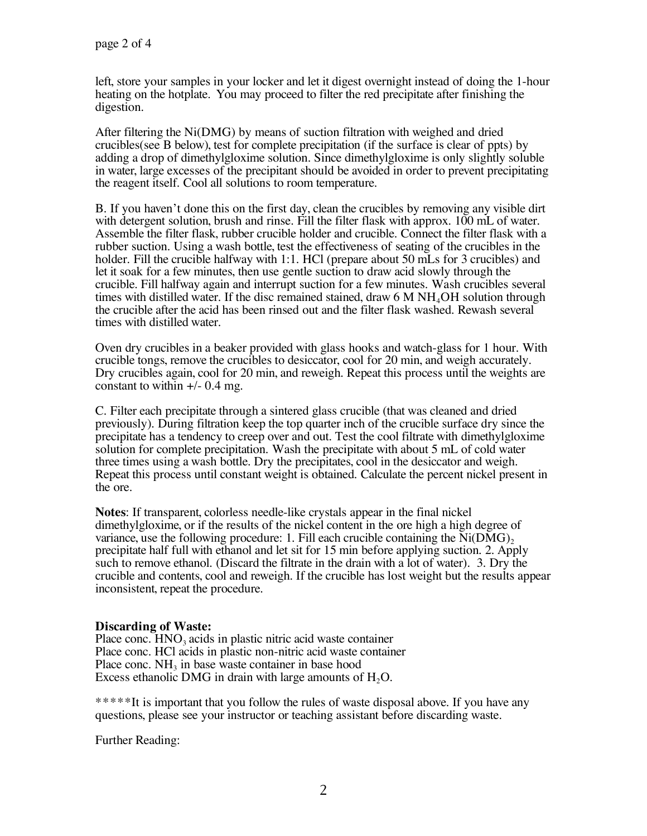left, store your samples in your locker and let it digest overnight instead of doing the 1-hour heating on the hotplate. You may proceed to filter the red precipitate after finishing the digestion.

After filtering the Ni(DMG) by means of suction filtration with weighed and dried crucibles(see B below), test for complete precipitation (if the surface is clear of ppts) by adding a drop of dimethylgloxime solution. Since dimethylgloxime is only slightly soluble in water, large excesses of the precipitant should be avoided in order to prevent precipitating the reagent itself. Cool all solutions to room temperature.

B. If you haven't done this on the first day, clean the crucibles by removing any visible dirt with detergent solution, brush and rinse. Fill the filter flask with approx. 100 mL of water. Assemble the filter flask, rubber crucible holder and crucible. Connect the filter flask with a rubber suction. Using a wash bottle, test the effectiveness of seating of the crucibles in the holder. Fill the crucible halfway with 1:1. HCl (prepare about 50 mLs for 3 crucibles) and let it soak for a few minutes, then use gentle suction to draw acid slowly through the crucible. Fill halfway again and interrupt suction for a few minutes. Wash crucibles several times with distilled water. If the disc remained stained, draw  $6 \text{ M} \text{ NH}_4\text{OH}$  solution through the crucible after the acid has been rinsed out and the filter flask washed. Rewash several times with distilled water.

Oven dry crucibles in a beaker provided with glass hooks and watch-glass for 1 hour. With crucible tongs, remove the crucibles to desiccator, cool for 20 min, and weigh accurately. Dry crucibles again, cool for 20 min, and reweigh. Repeat this process until the weights are constant to within  $+/- 0.4$  mg.

C. Filter each precipitate through a sintered glass crucible (that was cleaned and dried previously). During filtration keep the top quarter inch of the crucible surface dry since the precipitate has a tendency to creep over and out. Test the cool filtrate with dimethylgloxime solution for complete precipitation. Wash the precipitate with about 5 mL of cold water three times using a wash bottle. Dry the precipitates, cool in the desiccator and weigh. Repeat this process until constant weight is obtained. Calculate the percent nickel present in the ore.

**Notes**: If transparent, colorless needle-like crystals appear in the final nickel dimethylgloxime, or if the results of the nickel content in the ore high a high degree of variance, use the following procedure: 1. Fill each crucible containing the  $Ni(DMG)$ , precipitate half full with ethanol and let sit for 15 min before applying suction. 2. Apply such to remove ethanol. (Discard the filtrate in the drain with a lot of water). 3. Dry the crucible and contents, cool and reweigh. If the crucible has lost weight but the results appear inconsistent, repeat the procedure.

## **Discarding of Waste:**

Place conc.  $HNO<sub>3</sub>$  acids in plastic nitric acid waste container Place conc. HCl acids in plastic non-nitric acid waste container Place conc.  $NH<sub>3</sub>$  in base waste container in base hood Excess ethanolic DMG in drain with large amounts of  $H<sub>2</sub>O$ .

\*\*\*\*\*It is important that you follow the rules of waste disposal above. If you have any questions, please see your instructor or teaching assistant before discarding waste.

Further Reading: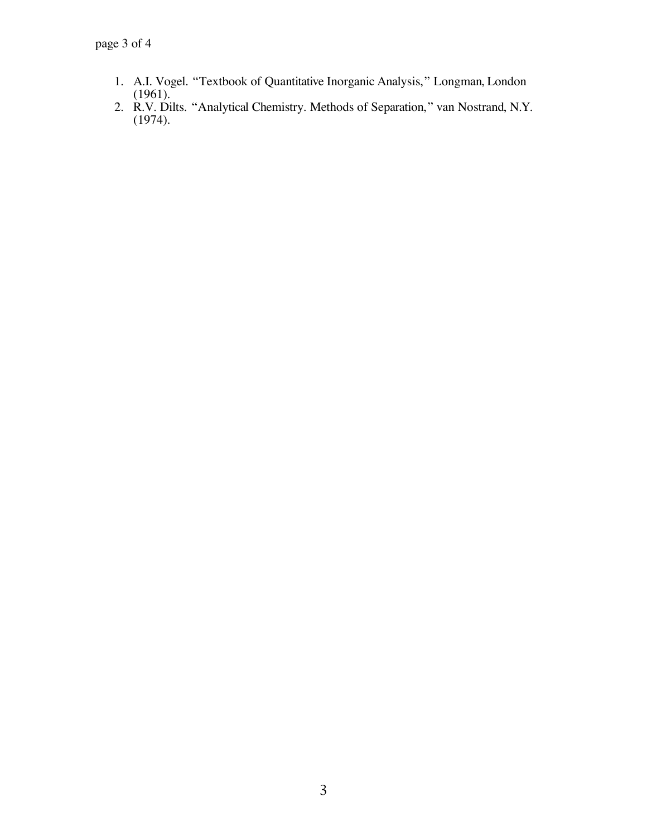- 1. A.I. Vogel. "Textbook of Quantitative Inorganic Analysis," Longman, London
- (1961). 2. R.V. Dilts. "Analytical Chemistry. Methods of Separation," van Nostrand, N.Y. (1974).